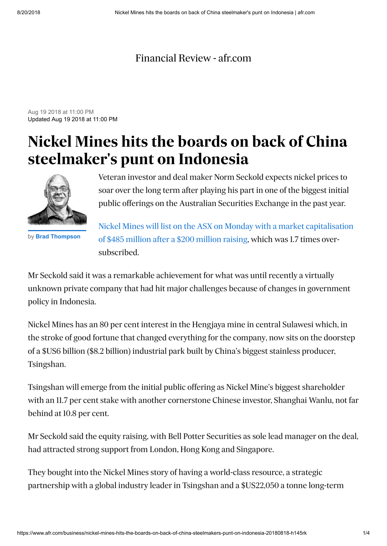## [Financial Review - afr.com](https://www.afr.com/)

Aug 19 2018 at 11:00 PM Updated Aug 19 2018 at 11:00 PM

## **Nickel Mines hits the boards on back of China steelmaker's punt on Indonesia**



by **[Brad Thompson](https://www.afr.com/business/brad-thompson-gyvn7t.html)**

Veteran investor and deal maker Norm Seckold expects nickel prices to soar over the long term after playing his part in one of the biggest initial public offerings on the Australian Securities Exchange in the past year.

[Nickel Mines will list on the ASX on Monday with a market capitalisation](https://www.afr.com/street-talk/bell-potter-launches-200m-indonesian-nickel-ipo-20180618-h11iie) of \$485 million after a \$200 million raising, which was 1.7 times oversubscribed.

Mr Seckold said it was a remarkable achievement for what was until recently a virtually unknown private company that had hit major challenges because of changes in government policy in Indonesia.

Nickel Mines has an 80 per cent interest in the Hengjaya mine in central Sulawesi which, in the stroke of good fortune that changed everything for the company, now sits on the doorstep of a \$US6 billion (\$8.2 billion) industrial park built by China's biggest stainless producer, Tsingshan.

Tsingshan will emerge from the initial public offering as Nickel Mine's biggest shareholder with an 11.7 per cent stake with another cornerstone Chinese investor, Shanghai Wanlu, not far behind at 10.8 per cent.

Mr Seckold said the equity raising, with Bell Potter Securities as sole lead manager on the deal, had attracted strong support from London, Hong Kong and Singapore.

They bought into the Nickel Mines story of having a world-class resource, a strategic partnership with a global industry leader in Tsingshan and a \$US22,050 a tonne long-term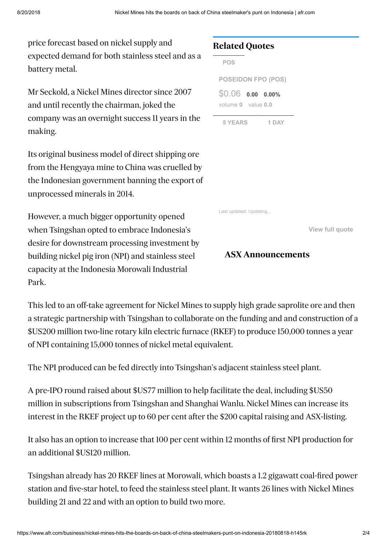price forecast based on nickel supply and expected demand for both stainless steel and as a battery metal.

Mr Seckold, a Nickel Mines director since 2007 and until recently the chairman, joked the company was an overnight success 11 years in the making.

Its original business model of direct shipping ore from the Hengyaya mine to China was cruelled by the Indonesian government banning the export of unprocessed minerals in 2014.

However, a much bigger opportunity opened when Tsingshan opted to embrace Indonesia's desire for downstream processing investment by building nickel pig iron (NPI) and stainless steel capacity at the Indonesia Morowali Industrial Park.

## **Related Quotes**

<span id="page-1-0"></span>

| <b>POS</b>                |  |       |
|---------------------------|--|-------|
| <b>POSEIDON FPO (POS)</b> |  |       |
| $$0.06$ 0.00 0.00%        |  |       |
| volume 0 value 0.0        |  |       |
| <b>5 YEARS</b>            |  | 1 DAY |

Last updated: Updating...

**[View full quote](https://www.afr.com/research-tools/POS/share-prices)**

## **ASX Announcements**

This led to an off-take agreement for Nickel Mines to supply high grade saprolite ore and then a strategic partnership with Tsingshan to collaborate on the funding and and construction of a \$US200 million two-line rotary kiln electric furnace (RKEF) to produce 150,000 tonnes a year of NPI containing 15,000 tonnes of nickel metal equivalent.

The NPI produced can be fed directly into Tsingshan's adjacent stainless steel plant.

A pre-IPO round raised about \$US77 million to help facilitate the deal, including \$US50 million in subscriptions from Tsingshan and Shanghai Wanlu. Nickel Mines can increase its interest in the RKEF project up to 60 per cent after the \$200 capital raising and ASX-listing.

It also has an option to increase that 100 per cent within 12 months of first NPI production for an additional \$US120 million.

Tsingshan already has 20 RKEF lines at Morowali, which boasts a 1.2 gigawatt coal-fired power station and five-star hotel, to feed the stainless steel plant. It wants 26 lines with Nickel Mines building 21 and 22 and with an option to build two more.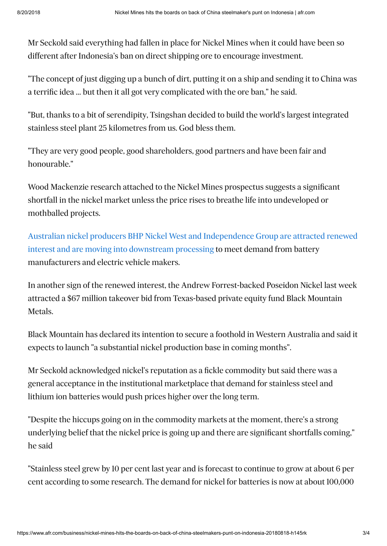Mr Seckold said everything had fallen in place for Nickel Mines when it could have been so different after Indonesia's ban on direct shipping ore to encourage investment.

"The concept of just digging up a bunch of dirt, putting it on a ship and sending it to China was a terrific idea ... but then it all got very complicated with the ore ban," he said.

"But, thanks to a bit of serendipity, Tsingshan decided to build the world's largest integrated stainless steel plant 25 kilometres from us. God bless them.

"They are very good people, good shareholders, good partners and have been fair and honourable."

Wood Mackenzie research attached to the Nickel Mines prospectus suggests a significant shortfall in the nickel market unless the price rises to breathe life into undeveloped or mothballed projects.

[Australian nickel producers BHP Nickel West and Independence Group are attracted renewed](https://www.afr.com/business/bhps-unloved-nickel-west-charges-ahead-with-battery-chemicals-transition-20180805-h13l6a) interest and are moving into downstream processing to meet demand from battery manufacturers and electric vehicle makers.

In another sign of the renewed interest, the Andrew Forrest-backed Poseidon Nickel last week attracted a \$67 million takeover bid from Texas-based private equity fund Black Mountain Metals.

Black Mountain has declared its intention to secure a foothold in Western Australia and said it expects to launch "a substantial nickel production base in coming months".

Mr Seckold acknowledged nickel's reputation as a fickle commodity but said there was a general acceptance in the institutional marketplace that demand for stainless steel and lithium ion batteries would push prices higher over the long term.

"Despite the hiccups going on in the commodity markets at the moment, there's a strong underlying belief that the nickel price is going up and there are significant shortfalls coming," he said

"Stainless steel grew by 10 per cent last year and is forecast to continue to grow at about 6 per cent according to some research. The demand for nickel for batteries is now at about 100,000